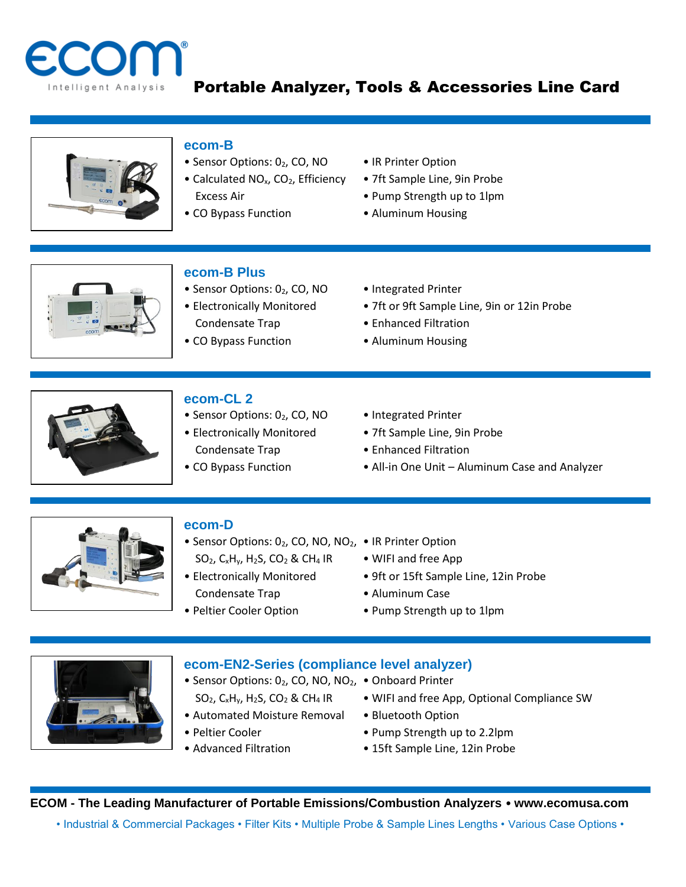

# Portable Analyzer, Tools & Accessories Line Card



## **ecom-B**

- Sensor Options: 02, CO, NO IR Printer Option
- Calculated NO<sub>x</sub>, CO<sub>2</sub>, Efficiency 7ft Sample Line, 9in Probe Excess Air • **• Pump Strength up to 1lpm**
- CO Bypass Function Aluminum Housing
- 
- 
- -



## **ecom-B Plus**

- Sensor Options: 02, CO, NO Integrated Printer
- Condensate Trap Enhanced Filtration
- CO Bypass Function Aluminum Housing
- 
- Electronically Monitored 7ft or 9ft Sample Line, 9in or 12in Probe
	-
	-



## **ecom-CL 2**

- Sensor Options: 02, CO, NO Integrated Printer
- Condensate Trap Enhanced Filtration
- 
- 
- Electronically Monitored 7ft Sample Line, 9in Probe
	-
- CO Bypass Function All-in One Unit Aluminum Case and Analyzer



## **ecom-D**

- Sensor Options: 02, CO, NO, NO<sub>2</sub>, IR Printer Option  $SO_2$ ,  $C_xH_y$ ,  $H_2S$ ,  $CO_2$  &  $CH_4$  IR • WIFI and free App
- Condensate Trap Aluminum Case
- 
- -
- Electronically Monitored 9ft or 15ft Sample Line, 12in Probe
	-
- Peltier Cooler Option Pump Strength up to 1lpm



- **ecom-EN2-Series (compliance level analyzer)**
- Sensor Options: 02, CO, NO, NO<sub>2</sub>, Onboard Printer
- Automated Moisture Removal Bluetooth Option
- 
- 
- 
- SO<sub>2</sub>,  $C_xH_y$ ,  $H_2S$ ,  $CO_2$  &  $CH_4$  IR WIFI and free App, Optional Compliance SW
	-
- Peltier Cooler Pump Strength up to 2.2lpm
- Advanced Filtration 15ft Sample Line, 12in Probe

**ECOM - The Leading Manufacturer of Portable Emissions/Combustion Analyzers** • **www.ecomusa.com**

• Industrial & Commercial Packages • Filter Kits • Multiple Probe & Sample Lines Lengths • Various Case Options •